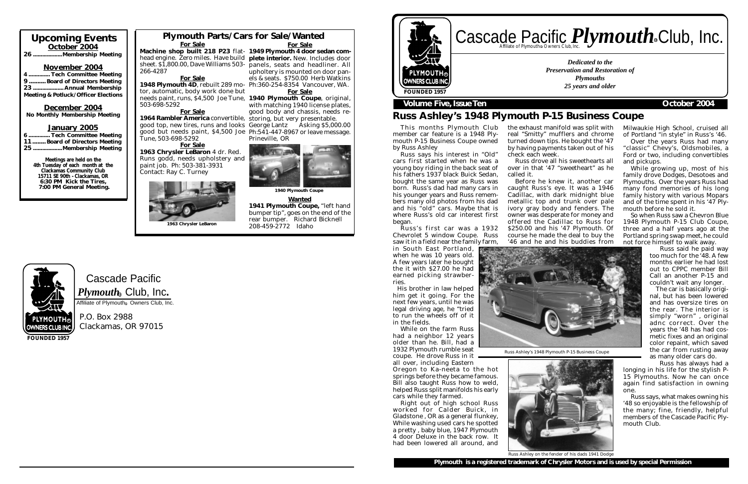## head engine. Zero miles. Have build plete interior. New. Includes door sheet. \$1,800.00, Dave Williams 503- panels, seats and headliner. All upholtery is mounted on door panels & seats. \$750.00 Herb Watkins

For Sale

1964 Rambler America convertible, storing, but very presentable. good top, new tires, runs and looks George Lantz Asking \$5,000.00 good but needs paint, \$4,500 Joe Ph:541-447-8967 or leave message. Prineville, OR



**Wanted** 1941 Plymouth Coupe, "left hand bumper tip", goes on the end of the rear bumper. Richard Bicknell 208-459-2772 Idaho

# Cascade Pacific Affiliate of Plymouth<sup>®</sup> Owners Club, Inc.

with matching 1940 license plates, good body and chassis, needs re-

P.O. Box 2988 Clackamas, OR 97015

## Upcoming Events October 2004 26 ...................Membership Meeting

# Cascade Pacific *Plymouth* Souriers Club, Inc. R

### November 2004

4 .............. Tech Committee Meeting 9 .......... Board of Directors Meeting 23 .................... Annual Membership Meeting & Potluck/Officer Elections

### December 2004 No Monthly Membership Meeting

### January 2005

| 6  Tech Committee Meeting     |  |
|-------------------------------|--|
| 11 Board of Directors Meeting |  |
| 25 Membership Meeting         |  |

Meetings are held on the 4th Tuesday of each month at the Clackamas Community Club 15711 SE 90th - Clackamas, OR 6:30 PM Kick the Tires, 7:00 PM General Meeting.

**FOUNDED 1957**

*Dedicated to the Preservation and Restoration of Plymouths 25 years and older*



## **Volume Five, Issue Ten Contract Contract Contract Contract Contract Contract Contract Contract Contract Contract Contract Contract Contract Contract Contract Contract Contract Contract Contract Contract Contract Contract**

### For Sale Plymouth Parts/Cars for Sale/Wanted For Sale

Machine shop built 218 P23 flat- 1949 Plymouth 4 door sedan com-

## Russ Ashley's 1948 Plymouth P-15 Business Coupe

1948 Plymouth 4D, rebuilt 289 mo- Ph:360-254-8354 Vancouver, WA. needs paint, runs, \$4,500 Joe Tune, 1940 Plymouth Coupe, original, tor, automatic, body work done but 503-698-5292 For Sale

This months Plymouth Club member car feature is a 1948 Plymouth P-15 Business Coupe owned by Russ Ashley

Russ says his interest in "Old" cars first started when he was a young boy riding in the back seat of his fathers 1937 black Buick Sedan, bought the same year as Russ was born. Russ's dad had many cars in his younger years and Russ remembers many old photos from his dad and his "old" cars. Maybe that is where Russ's old car interest first began.

Russ's first car was a 1932 Chevrolet 5 window Coupe. Russ saw it in a field near the family farm, in South East Portland,

when he was 10 years old. A few years later he bought the it with \$27.00 he had earned picking strawberries.

 His brother in law helped him get it going. For the next few years, until he was legal driving age, he "tried to run the wheels off of it in the fields.

While on the farm Russ had a neighbor 12 years older than he. Bill, had a 1932 Plymouth rumble seat coupe. He drove Russ in it

all over, including Eastern Oregon to Ka-neeta to the hot springs before they became famous. Bill also taught Russ how to weld, helped Russ split manifolds his early cars while they farmed.

Right out of high school Russ worked for Calder Buick, in Gladstone , OR as a general flunkey, While washing used cars he spotted a pretty , baby blue, 1947 Plymouth 4 door Deluxe in the back row. It had been lowered all around, and



Russ Ashley's 1948 Plymouth P-15 Business Coupe



266-4287 For Sale

Tune, 503-698-5292

### For Sale 1963 Chrysler LeBaron 4 dr. Red. Runs godd, needs upholstery and paint job. Ph: 503-381-3931 Contact: Ray C. Turney

the exhaust manifold was split with real "Smitty" mufflers and chrome turned down tips. He bought the '47 by having payments taken out of his check each week.

Russ drove all his sweethearts all over in that '47 "sweetheart" as he

called it.

Before he knew it, another car caught Russ's eye. It was a 1946 Cadillac, with dark midnight blue metallic top and trunk over pale ivory gray body and fenders. The owner was desperate for money and offered the Cadillac to Russ for \$250.00 and his '47 Plymouth. Of course he made the deal to buy the '46 and he and his buddies from

Milwaukie High School, cruised all of Portland "in style" in Russ's '46.

Over the years Russ had many "classic" Chevy's, Oldsmobiles, a Ford or two, including convertibles and pickups.

While growing up, most of his family drove Dodges, Desotoes and Plymouths. Over the years Russ had many fond memories of his long family history with various Mopars and of the time spent in his '47 Plymouth before he sold it.

So when Russ saw a Chevron Blue 1948 Plymouth P-15 Club Coupe, three and a half years ago at the Portland spring swap meet, he could not force himself to walk away.

> Russ said he paid way too much for the '48. A few months earlier he had lost out to CPPC member Bill Call an another P-15 and couldn't wait any longer.

> The car is basically original, but has been lowered and has oversize tires on the rear. The interior is simply "worn" , original adnc correct. Over the years the '48 has had cosmetic fixes and an original color repaint, which saved the car from rusting away as many older cars do.

 Russ has always had a longing in his life for the stylish P-15 Plymouths. Now he can once again find satisfaction in owning one.

Russ says, what makes owning his '48 so enjoyable is the fellowship of the many; fine, friendly, helpful members of the Cascade Pacific Plymouth Club.

1940 Plymouth Coupe





 $\boldsymbol{P} \boldsymbol{l}$ y $\boldsymbol{m} \boldsymbol{o}$ ut $\boldsymbol{h}_\circledast$  Club, Inc.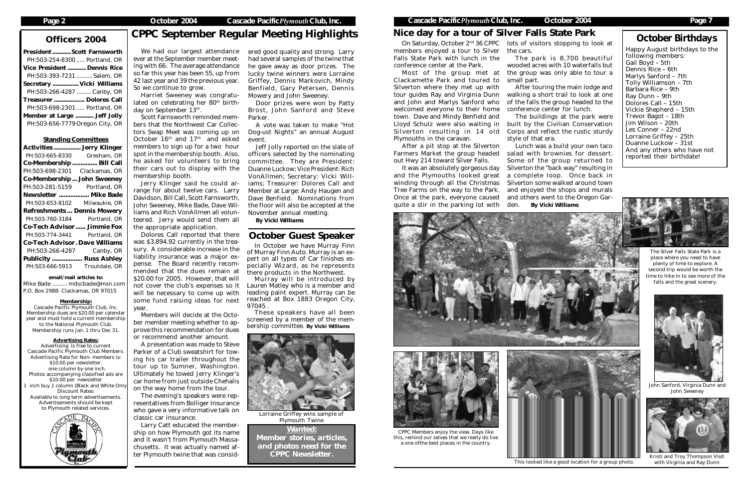President ............Scott Farnsworth PH:503-254-8300 ..... Portland, OR Vice President ............ Dennis Rice PH:503-393-7231 .......... Salem, OR Secretary ................. Vicki Williams PH:503-266-4287 ......... Canby, OR Treasurer .................... Dolores Call PH:503-698-2301 ..... Portland, OR Member at Large ............ Jeff Jolly PH:503-656-7779Oregon City, OR

Harriet Sweeney was congratulated on celebrating her 80<sup>th</sup> birthday on September 13<sup>th</sup>.

Standing Committees Activities ................ Jerry Klinger PH:503-665-8330 Gresham, OR Co-Membership ............... Bill Call PH:503-698-2301 Clackamas, OR Co-Membership ... John Sweeney PH:503-281-5159 Portland, OR Newsletter .................. Mike Bade PH:503-653-8102 Milwaukie, OR Refreshments ... Dennis Mowery PH:503-760-3184 Portland, OR Co-Tech Advisor ...... Jimmie Fox PH:503-774-3441 Portland, OR Co-Tech Advisor. Dave Williams PH:503-266-4287 Canby, OR Publicity .................. Russ Ashley PH:503-666-5913 Troutdale, OR email/mail articles to: Mike Bade .......... mdscbade@msn.com P.O. Box 2988- Clackamas, OR 97015 Membership: Cascade Pacific Plymouth Club, Inc. Membership dues are \$20.00 per calendar year and must hold a current membership to the National Plymouth Club. Membership runs Jan. 1 thru Dec 31. Advertising Rates: Advertising is free to current Cascade Pacific Plymouth Club Members. Advertising Rate for Non- members is: \$10.00 per newsletter. one column by one inch. Photos accompanying classified ads are \$10.00 per newsletter inch buy 1 column (Black and White Only Discount Rates: Available to long term advertisements. Advertisements should be kept to Plymouth related services.

# Nice day for a tour of Silver Falls State Park **October Birthdays**

We had our largest attendance ever at the September member meeting with 66. The average attendance so far this year has been 55, up from 42 last year and 39 the previous year. So we continue to grow.

Scott Farnsworth reminded members that the Northwest Car Collectors Swap Meet was coming up on October 16<sup>th</sup> and 17<sup>th</sup> and asked members to sign up for a two hour spot in the membership booth. Also, he asked for volunteers to bring their cars out to display with the membership booth.

Jerry Klinger said he could arrange for about twelve cars. Larry Davidson, Bill Call, Scott Farnsworth, John Sweeney, Mike Bade, Dave Williams and Rich VonAllmen all volunteered. Jerry would send them all the appropriate application.

Dolores Call reported that there was \$3,894.92 currently in the treasury. A considerable increase in the liability insurance was a major expense. The Board recently recommended that the dues remain at \$20.00 for 2005. However, that will not cover the club's expenses so it will be necessary to come up with some fund raising ideas for next year.

Members will decide at the October member meeting whether to approve this recommendation for dues or recommend another amount.

A presentation was made to Steve Parker of a Club sweatshirt for towing his car trailer throughout the tour up to Sumner, Washington. Ultimately he towed Jerry Klinger's car home from just outside Chehalis on the way home from the tour.

The evening's speakers were representatives from Bolliger Insurance who gave a very informative talk on classic car insurance.

Larry Catt educated the membership on how Plymouth got its name and it wasn't from Plymouth Massachusetts. It was actually named after Plymouth twine that was consid-

*Member stories, articles, and photos need for the CPPC Newsletter.*



ered good quality and strong. Larry had several samples of the twine that he gave away as door prizes. The lucky twine winners were Lorraine Griffey, Dennis Markovich, Mindy Benfield, Gary Petersen, Dennis Mowery and John Sweeney.

Door prizes were won by Patty Brost, John Sanford and Steve Parker.

A vote was taken to make "Hot Dog-ust Nights" an annual August event.

Jeff Jolly reported on the slate of officers selected by the nominating committee. They are President: Duanne Luckow; Vice President: Rich VonAllmen; Secretary: Vicki Williams; Treasurer: Dolores Call and Member at Large: Andy Haugen and Dave Benfield. Nominations from the floor will also be accepted at the November annual meeting.

*By Vicki Williams*

In October we have Murray Finn of Murray Finn Auto. Murray is an expert on all types of Car finishes especially Wizard, as he represents there products in the Northwest.

Murray will be introduced by Lauren Matley who is a member and leading paint expert. Murray can be reached at Box 1883 Oregon City, 97045 .

These speakers have all been screened by a member of the membership committee. *By Vicki Williams*



## October Guest Speaker

On Saturday, October 2nd 36 CPPC lots of visitors stopping to look at members enjoyed a tour to Silver the cars. Falls State Park with lunch in the conference center at the Park.

*Wanted:* Lorraine Griffey wins sample of Plymouth Twine

Most of the group met at the group was only able to tour a Clackamette Park and toured to Silverton where they met up with and John and Marlys Sanford who welcomed everyone to their home town. Dave and Mindy Benfield and Plymouths in the caravan.

After a pit stop at the Silverton Farmers Market the group headed out Hwy 214 toward Silver Falls.

tour guides Ray and Virginia Dunn walking a short trail to look at one After touring the main lodge and of the falls the group headed to the conference center for lunch.

It was an absolutely gorgeous day and the Plymouths looked great winding through all the Christmas Tree Farms on the way to the Park. Once at the park, everyone caused quite a stir in the parking lot with

Lloyd Schulz were also waiting in built by the Civilian Conservation Silverton resulting in 14 old Corps and reflect the rustic sturdy The buildings at the park were style of that era.

The park is 8,700 beautiful wooded acres with 10 waterfalls but

small part.

Lunch was a build your own taco salad with brownies for dessert. Some of the group returned to Silverton the "back way" resulting in a complete loop. Once back in Silverton some walked around town and enjoyed the shops and murals and others went to the Oregon Garden. *By Vicki Williams*





### CPPC Members enjoy the view. Days like this, remind our selves that we really do live a one ofthe best places in the country.

# Officers 2004 CPPC September Regular Meeting Highlights

This looked like a good location for a group photo.



Kristi and Troy Thompson Visit with Virginia and Ray Dunn

The Silver Falls State Park is a place where you need to have plenty of time to explore. A second trip would be worth the time to hike in to see more of the falls and the great scenery.



John Sanford, Virginia Dunn and John Sweeney

Happy August birthdays to the following members: Gail Boyd – 5th Dennis Rice – 6th Marlys Sanford – 7th Tolly Williamson – 7th Barbara Rice – 9th Ray Dunn – 9th Dolores Call – 15th Vickie Shepherd – 15th Trevor Bagot – 18th Jim Wilson – 20th Les Conner – 22nd Lorraine Griffey – 25th Duanne Luckow – 31st And any others who have not reported their birthdate!

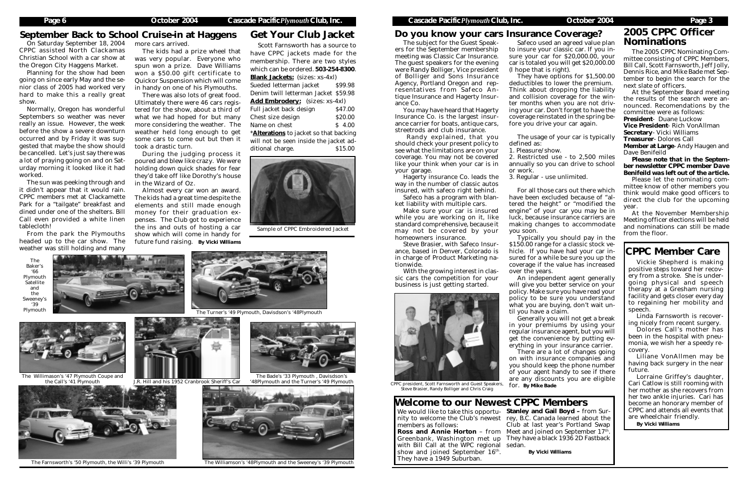# September Back to School Cruise-in at Haggens Get Your Club Jacket<br>On Saturday September 18, 2004 more cars arrived.

The 2005 CPPC Nominating Committee consisting of CPPC Members, Bill Call, Scott Farnsworth, Jeff Jolly, Dennis Rice, and Mike Bade met September to begin the search for the next slate of officers.

At the September Board meeting the results of the search were announced. Recomendations by the committee were as follows:

President- Duane Luckow

Vice President- Rich VonAllman

Secretary- Vicki Williams

Treasurer- Dolores Call

Member at Large- Andy Haugen and Dave Benifeild

*Please note that in the September newsletter CPPC member Dave Benifeild was left out of the article.*

Please let the nominating committee know of other members you think would make good officers to direct the club for the upcoming year.

At the November Membership Meeting officer elections will be held and nominations can still be made from the floor.

# 2005 CPPC Officer

CPPC assisted North Clackamas Christian School with a car show at the Oregon City Haggens Market.

Planning for the show had been going on since early May and the senior class of 2005 had worked very hard to make this a really great show.

Normally, Oregon has wonderful Septembers so weather was never really an issue. However, the week before the show a severe downturn occurred and by Friday it was suggested that maybe the show should be cancelled. Let's just say there was a lot of praying going on and on Saturday morning it looked like it had worked.

> We would like to take this opportu- Stanley and Gail Boyd - from Surnity to welcome the Club's newest rey, B.C. Canada learned about the **Ross and Annie Horton** – from Meet and joined on September  $17<sup>th</sup>$ . Greenbank, Washington met up They have a black 1936 2D Fastback Club at last year's Portland Swap

The sun was peeking through and it didn't appear that it would rain. CPPC members met at Clackamette Park for a "tailgate" breakfast and dined under one of the shelters. Bill Call even provided a white linen tablecloth!

 $\sum_{\text{Cont } \text{C} \text{ of } \text{C} \text{ of } \text{C} \text{ of } \text{C} \text{ of } \text{C} \text{ of } \text{C} \text{ of } \text{C} \text{ of } \text{C} \text{ of } \text{C} \text{ of } \text{C} \text{ of } \text{C} \text{ of } \text{C} \text{ of } \text{C} \text{ of } \text{C} \text{ of } \text{C} \text{ of } \text{C} \text{ of } \text{C} \text{ of } \text{C} \text{ of } \text{C} \text{ of } \text{C} \text{ of } \text{C} \text{ of } \text$ The subject for the Guest Speakers for the September membership meeting was Classic Car Insurance. The guest speakers for the evening were Randy Bolliger, Vice president of Bolliger and Sons Insurance Agency, Portland Oregon and representatives from Safeco Antique Insurance and Hagerty Insurance Co.

From the park the Plymouths headed up to the car show. The weather was still holding and many

more cars arrived.

The kids had a prize wheel that was very popular. Everyone who spun won a prize. Dave Williams won a \$50.00 gift certificate to Quickor Suspension which will come in handy on one of his Plymouths.

There was also lots of great food. Ultimately there were 46 cars registered for the show, about a third of what we had hoped for but many more considering the weather. The weather held long enough to get some cars to come out but then it took a drastic turn.

During the judging process it poured and blew like crazy. We were holding down quick shades for fear they'd take off like Dorothy's house in the Wizard of Oz.

Almost every car won an award. The kids had a great time despite the elements and still made enough money for their graduation expenses. The Club got to experience the ins and outs of hosting a car show which will come in handy for future fund raising. *By Vicki Williams*

members as follows:

with Bill Call at the WPC regional sedan. show and joined September 16<sup>th</sup>. They have a 1949 Suburban.

There are a lot of changes going on with insurance companies and you should keep the phone number of your agent handy to see if there are any discounts you are eligible for. *By Mike Bade*

## Welcome to our Newest CPPC Members

*By Vicki Williams*

You may have heard that Hagerty Insurance Co. is the largest insurance carrier for boats, antique cars, streetrods and club insurance.

 Randy explained, that you should check your present policy to see what the limitations are on your coverage. You may not be covered like your think when your car is in your garage.

Hagerty insurance Co. leads the way in the number of classic autos insured, with safeco right behind.

Safeco has a program with blanket liability with multiple cars.

Make sure your car is insured while you are working on it, like standard comprehensive, because it may not be covered by your homeowners insurance.

Steve Brasier, with Safeco Insurance, based in Denver, Colorado is in charge of Product Marketing nationwide.

With the growing interest in classic cars the competition for your business is just getting started.



to insure your classic car. If you insure your car for \$20,000.00, your car is totaled you will get \$20,000.00 (I hope that is right).

They have options for \$1,500.00 deductibles to lower the premium. Think about dropping the liability and collision coverage for the winter months when you are not driving your car. Don't forget to have the coverage reinstated in the spring before you drive your car again.

The usage of your car is typically

defined as:

1. Pleasure/show.

2. Restricted use - to 2,500 miles annually so you can drive to school

or work.

3. Regular - use unlimited.

For all those cars out there which have been excluded because of "altered the height" or "modified the engine" of your car you may be in luck, because insurance carriers are making changes to accommodate

you soon.

Typically you should pay in the \$150.00 range for a classic stock vehicle. If you have had your car insured for a while be sure you up the coverage if the value has increased over the years.

An independent agent generally will give you better service on your policy. Make sure you have read your policy to be sure you understand what you are buying, don't wait un-

til you have a claim.

Generally you will not get a break in your premiums by using your regular insurance agent, but you will get the convenience by putting everything in your insurance carrier.

## Do you know your cars Insurance Coverage?

Scott Farnsworth has a source to have CPPC jackets made for the membership. There are two styles which can be ordered. 503-254-8300. Blank Jackets: (sizes: xs-4xl)

Sueded letterman jacket \$99.98 Denim twill letterman Jacket \$59.98 Add Embrodery: (sizes: xs-4xl) Full jacket back design \$47.00 Chest size design \$20.00

Name on chest \$ 4.00 \***Alterations** to jacket so that backing will not be seen inside the jacket additional charge.  $$15.00$ 



Sample of CPPC Embroidered Jacket



CPPC president, Scott Farnsworth and Guest Speakers, Steve Brasier, Randy Bolliger and Chris Craig

Vickie Shepherd is making positive steps toward her recovery from a stroke. She is undergoing physical and speech therapy at a Gresham nursing facility and gets closer every day to regaining her mobility and speech.

Linda Farnsworth is recovering nicely from recent surgery.

Dolores Call's mother has been in the hospital with pneumonia, we wish her a speedy recovery.

Liliane VonAllmen may be having back surgery in the near future.

Lorraine Griffey's daughter, Cari Catlow is still rooming with her mother as she recovers from her two ankle injuries. Cari has become an honorary member of CPPC and attends all events that are wheelchair friendly.

*By Vicki Williams*

## CPPC Member Care

J.R. Hill and his 1952 Cranbrook Sheriff's Car

The Bade's '33 Plymouth , Davisdson's '48Plymouth and the Turner's '49 Plymouth



The Turner's '49 Plymouth, Davisdson's '48Plymouth



The Willimason's '47 Plymouth Coupe and the Call's '41 Plymouth





The Baker's '66 Plymouth **Satellite** and the Sweeney's '39 Plymouth



The Farnsworth's '50 Plymouth, the Willi's '39 Plymouth The Williamson's '48Plymouth and the Sweeney's '39 Plymouth